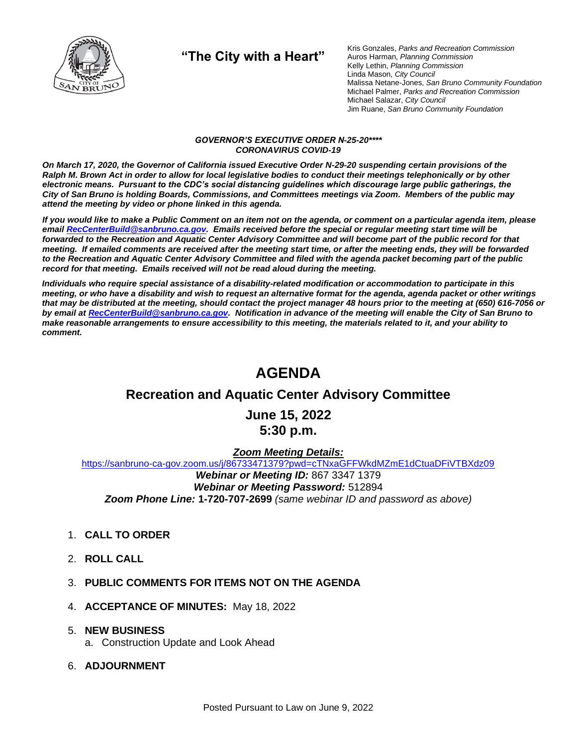

**"The City with a Heart"**

Kris Gonzales, *Parks and Recreation Commission* Auros Harman, *Planning Commission* Kelly Lethin, *Planning Commission* Linda Mason, *City Council* Malissa Netane-Jones, *San Bruno Community Foundation* Michael Palmer, *Parks and Recreation Commission* Michael Salazar, *City Council* Jim Ruane, *San Bruno Community Foundation*

#### *GOVERNOR'S EXECUTIVE ORDER N-25-20\*\*\*\* CORONAVIRUS COVID-19*

*On March 17, 2020, the Governor of California issued Executive Order N-29-20 suspending certain provisions of the Ralph M. Brown Act in order to allow for local legislative bodies to conduct their meetings telephonically or by other electronic means. Pursuant to the CDC's social distancing guidelines which discourage large public gatherings, the City of San Bruno is holding Boards, Commissions, and Committees meetings via Zoom. Members of the public may attend the meeting by video or phone linked in this agenda.*

*If you would like to make a Public Comment on an item not on the agenda, or comment on a particular agenda item, please emai[l RecCenterBuild@sanbruno.ca.gov.](mailto:RecCenterBuild@sanbruno.ca.gov) Emails received before the special or regular meeting start time will be forwarded to the Recreation and Aquatic Center Advisory Committee and will become part of the public record for that meeting. If emailed comments are received after the meeting start time, or after the meeting ends, they will be forwarded to the Recreation and Aquatic Center Advisory Committee and filed with the agenda packet becoming part of the public record for that meeting. Emails received will not be read aloud during the meeting.* 

*Individuals who require special assistance of a disability-related modification or accommodation to participate in this meeting, or who have a disability and wish to request an alternative format for the agenda, agenda packet or other writings that may be distributed at the meeting, should contact the project manager 48 hours prior to the meeting at (650) 616-7056 or by email a[t RecCenterBuild@sanbruno.ca.gov.](mailto:RecCenterBuild@sanbruno.ca.gov) Notification in advance of the meeting will enable the City of San Bruno to make reasonable arrangements to ensure accessibility to this meeting, the materials related to it, and your ability to comment.*

# **AGENDA**

## **Recreation and Aquatic Center Advisory Committee**

**June 15, 2022 5:30 p.m.**

#### *Zoom Meeting Details:*

[https://sanbruno-ca-gov.zoom.us/j/86733471379?pwd=cTNxaGFFWkdMZmE1dCtuaDFiVTBXdz09](https://sanbruno-ca-gov.zoom.us/j/86733471379?pwd=cTNxaGFFWkdMZmE1dCtuaDFiVTBXdz09%20) *Webinar or Meeting ID:* 867 3347 1379 *Webinar or Meeting Password:* 512894 *Zoom Phone Line:* **1-720-707-2699** *(same webinar ID and password as above)*

- 1. **CALL TO ORDER**
- 2. **ROLL CALL**
- 3. **PUBLIC COMMENTS FOR ITEMS NOT ON THE AGENDA**
- 4. **ACCEPTANCE OF MINUTES:** May 18, 2022

#### 5. **NEW BUSINESS**

- a. Construction Update and Look Ahead
- 6. **ADJOURNMENT**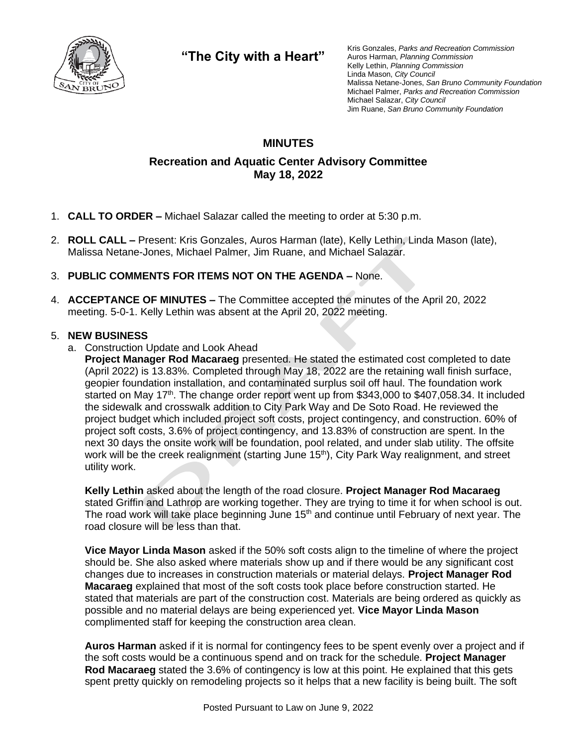

**"The City with a Heart"**

Kris Gonzales, *Parks and Recreation Commission* Auros Harman, *Planning Commission* Kelly Lethin, *Planning Commission* Linda Mason, *City Council* Malissa Netane-Jones, *San Bruno Community Foundation* Michael Palmer, *Parks and Recreation Commission* Michael Salazar, *City Council* Jim Ruane, *San Bruno Community Foundation*

### **MINUTES**

### **Recreation and Aquatic Center Advisory Committee May 18, 2022**

- 1. **CALL TO ORDER –** Michael Salazar called the meeting to order at 5:30 p.m.
- 2. **ROLL CALL –** Present: Kris Gonzales, Auros Harman (late), Kelly Lethin, Linda Mason (late), Malissa Netane-Jones, Michael Palmer, Jim Ruane, and Michael Salazar.

### 3. **PUBLIC COMMENTS FOR ITEMS NOT ON THE AGENDA –** None.

4. **ACCEPTANCE OF MINUTES –** The Committee accepted the minutes of the April 20, 2022 meeting. 5-0-1. Kelly Lethin was absent at the April 20, 2022 meeting.

#### 5. **NEW BUSINESS**

a. Construction Update and Look Ahead

**Project Manager Rod Macaraeg** presented. He stated the estimated cost completed to date (April 2022) is 13.83%. Completed through May 18, 2022 are the retaining wall finish surface, geopier foundation installation, and contaminated surplus soil off haul. The foundation work started on May 17<sup>th</sup>. The change order report went up from \$343,000 to \$407,058,34. It included the sidewalk and crosswalk addition to City Park Way and De Soto Road. He reviewed the project budget which included project soft costs, project contingency, and construction. 60% of project soft costs, 3.6% of project contingency, and 13.83% of construction are spent. In the next 30 days the onsite work will be foundation, pool related, and under slab utility. The offsite work will be the creek realignment (starting June 15<sup>th</sup>), City Park Way realignment, and street utility work.

**Kelly Lethin** asked about the length of the road closure. **Project Manager Rod Macaraeg** stated Griffin and Lathrop are working together. They are trying to time it for when school is out. The road work will take place beginning June 15<sup>th</sup> and continue until February of next year. The road closure will be less than that.

**Vice Mayor Linda Mason** asked if the 50% soft costs align to the timeline of where the project should be. She also asked where materials show up and if there would be any significant cost changes due to increases in construction materials or material delays. **Project Manager Rod Macaraeg** explained that most of the soft costs took place before construction started. He stated that materials are part of the construction cost. Materials are being ordered as quickly as possible and no material delays are being experienced yet. **Vice Mayor Linda Mason** complimented staff for keeping the construction area clean.

**Auros Harman** asked if it is normal for contingency fees to be spent evenly over a project and if the soft costs would be a continuous spend and on track for the schedule. **Project Manager Rod Macaraeg** stated the 3.6% of contingency is low at this point. He explained that this gets spent pretty quickly on remodeling projects so it helps that a new facility is being built. The soft